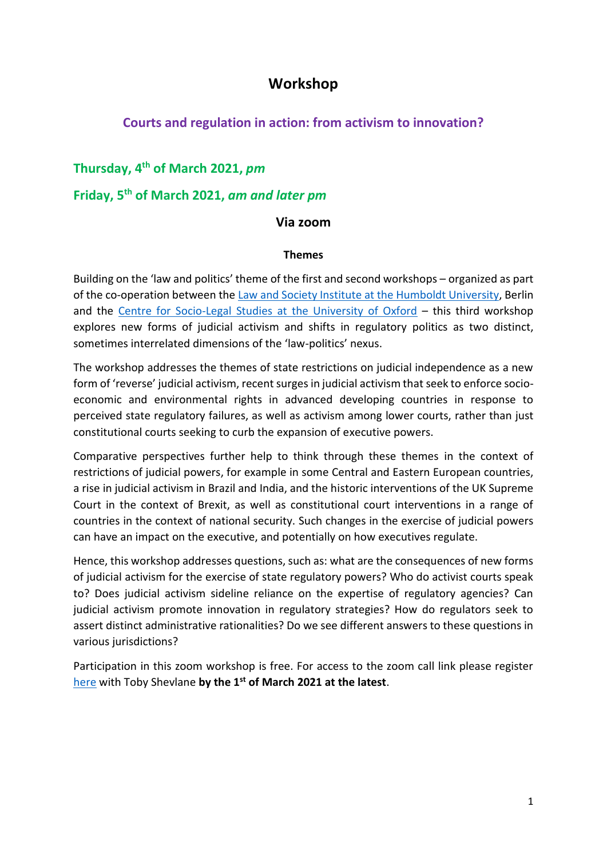# **Workshop**

## **Courts and regulation in action: from activism to innovation?**

### **Thursday, 4th of March 2021,** *pm*

# **Friday, 5th of March 2021,** *am and later pm*

#### **Via zoom**

#### **Themes**

Building on the 'law and politics' theme of the first and second workshops – organized as part of the co-operation between the [Law and Society Institute at the Humboldt University,](https://www.rewi.hu-berlin.de/en/lf/oe/lsi/the-institute/index.html) Berlin and the [Centre for Socio-Legal Studies at the University of Oxford](https://www.law.ox.ac.uk/centres-institutes/centre-socio-legal-studies) – this third workshop explores new forms of judicial activism and shifts in regulatory politics as two distinct, sometimes interrelated dimensions of the 'law-politics' nexus.

The workshop addresses the themes of state restrictions on judicial independence as a new form of 'reverse' judicial activism, recent surges in judicial activism that seek to enforce socioeconomic and environmental rights in advanced developing countries in response to perceived state regulatory failures, as well as activism among lower courts, rather than just constitutional courts seeking to curb the expansion of executive powers.

Comparative perspectives further help to think through these themes in the context of restrictions of judicial powers, for example in some Central and Eastern European countries, a rise in judicial activism in Brazil and India, and the historic interventions of the UK Supreme Court in the context of Brexit, as well as constitutional court interventions in a range of countries in the context of national security. Such changes in the exercise of judicial powers can have an impact on the executive, and potentially on how executives regulate.

Hence, this workshop addresses questions, such as: what are the consequences of new forms of judicial activism for the exercise of state regulatory powers? Who do activist courts speak to? Does judicial activism sideline reliance on the expertise of regulatory agencies? Can judicial activism promote innovation in regulatory strategies? How do regulators seek to assert distinct administrative rationalities? Do we see different answers to these questions in various jurisdictions?

Participation in this zoom workshop is free. For access to the zoom call link please register [here](mailto:toby.shevlane@exeter.ox.ac.uk) with Toby Shevlane **by the 1st of March 2021 at the latest**.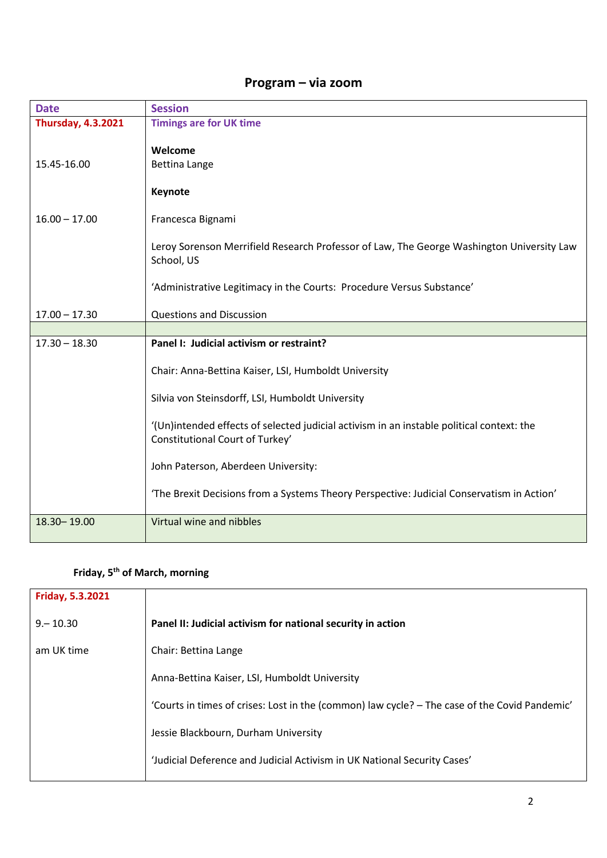# **Program – via zoom**

| <b>Date</b>               | <b>Session</b>                                                                                                               |
|---------------------------|------------------------------------------------------------------------------------------------------------------------------|
| <b>Thursday, 4.3.2021</b> | <b>Timings are for UK time</b>                                                                                               |
| 15.45-16.00               | Welcome<br><b>Bettina Lange</b><br>Keynote                                                                                   |
| $16.00 - 17.00$           | Francesca Bignami                                                                                                            |
|                           | Leroy Sorenson Merrifield Research Professor of Law, The George Washington University Law<br>School, US                      |
|                           | 'Administrative Legitimacy in the Courts: Procedure Versus Substance'                                                        |
| $17.00 - 17.30$           | <b>Questions and Discussion</b>                                                                                              |
|                           |                                                                                                                              |
|                           |                                                                                                                              |
| $17.30 - 18.30$           | Panel I: Judicial activism or restraint?                                                                                     |
|                           | Chair: Anna-Bettina Kaiser, LSI, Humboldt University                                                                         |
|                           | Silvia von Steinsdorff, LSI, Humboldt University                                                                             |
|                           | '(Un)intended effects of selected judicial activism in an instable political context: the<br>Constitutional Court of Turkey' |
|                           | John Paterson, Aberdeen University:                                                                                          |
|                           | 'The Brexit Decisions from a Systems Theory Perspective: Judicial Conservatism in Action'                                    |

# **Friday, 5th of March, morning**

| Friday, 5.3.2021 |                                                                                               |
|------------------|-----------------------------------------------------------------------------------------------|
| $9 - 10.30$      | Panel II: Judicial activism for national security in action                                   |
| am UK time       | Chair: Bettina Lange                                                                          |
|                  | Anna-Bettina Kaiser, LSI, Humboldt University                                                 |
|                  | 'Courts in times of crises: Lost in the (common) law cycle? - The case of the Covid Pandemic' |
|                  | Jessie Blackbourn, Durham University                                                          |
|                  | 'Judicial Deference and Judicial Activism in UK National Security Cases'                      |